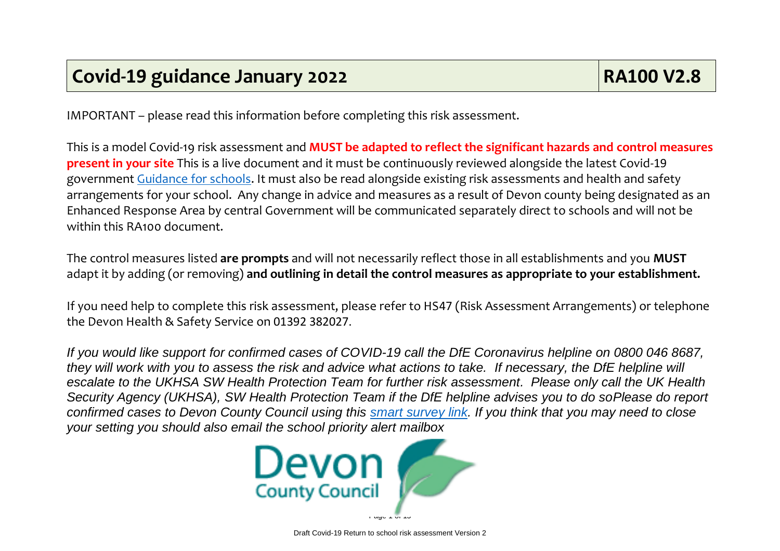IMPORTANT – please read this information before completing this risk assessment.

This is a model Covid-19 risk assessment and **MUST be adapted to reflect the significant hazards and control measures present in your site** This is a live document and it must be continuously reviewed alongside the latest Covid-19 government [Guidance for schools.](https://eur02.safelinks.protection.outlook.com/?url=https%3A%2F%2Fwww.gov.uk%2Fgovernment%2Fcollections%2Fguidance-for-schools-coronavirus-covid-19%3Futm_source%3D09%2520July%25202021%2520C19%26utm_medium%3DDaily%2520Email%2520C19%26utm_campaign%3DDfE%2520C19&data=04%7C01%7Cmartin.bevan%40devon.gov.uk%7C80359a25dfd64640efcd08d945376a2d%7C8da13783cb68443fbb4b997f77fd5bfb%7C0%7C0%7C637616926572103918%7CUnknown%7CTWFpbGZsb3d8eyJWIjoiMC4wLjAwMDAiLCJQIjoiV2luMzIiLCJBTiI6Ik1haWwiLCJXVCI6Mn0%3D%7C3000&sdata=CFWaT9A5w6TYm2xxUi4fdUP%2BB7AYZHg3nkPHrECEzzI%3D&reserved=0) It must also be read alongside existing risk assessments and health and safety arrangements for your school. Any change in advice and measures as a result of Devon county being designated as an Enhanced Response Area by central Government will be communicated separately direct to schools and will not be within this RA100 document.

The control measures listed **are prompts** and will not necessarily reflect those in all establishments and you **MUST** adapt it by adding (or removing) **and outlining in detail the control measures as appropriate to your establishment.**

If you need help to complete this risk assessment, please refer to HS47 (Risk Assessment Arrangements) or telephone the Devon Health & Safety Service on 01392 382027.

*If you would like support for confirmed cases of COVID-19 call the DfE Coronavirus helpline on 0800 046 8687, they will work with you to assess the risk and advice what actions to take. If necessary, the DfE helpline will escalate to the UKHSA SW Health Protection Team for further risk assessment. Please only call the UK Health Security Agency (UKHSA), SW Health Protection Team if the DfE helpline advises you to do soPlease do report confirmed cases to Devon County Council using this [smart survey link.](https://www.smartsurvey.co.uk/s/Covid19NotificationTestResults/) If you think that you may need to close your setting you should also email the school priority alert mailbox* 

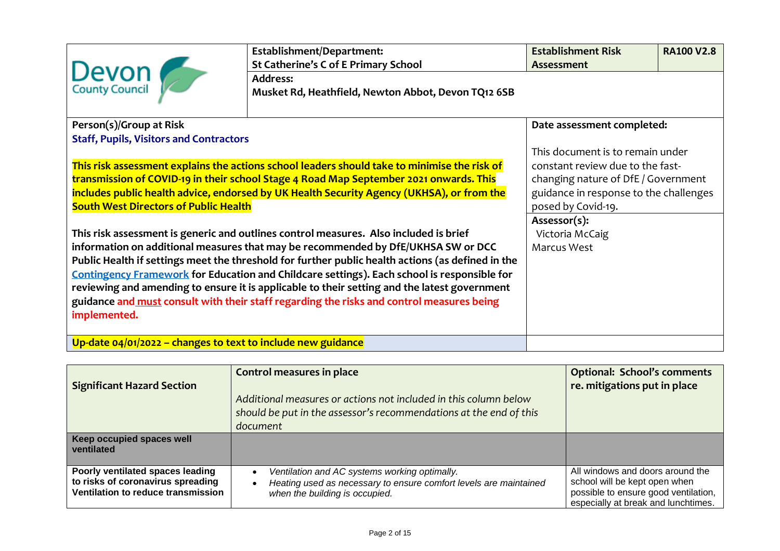| Devon                                                                                                                                     | Establishment/Department:<br><b>St Catherine's C of E Primary School</b><br><b>Address:</b><br>Musket Rd, Heathfield, Newton Abbot, Devon TQ12 6SB                                                                                                                                                                                                                                                                                                                                                                                                                                                                                                                                                                                                                                                                                                                        | <b>Establishment Risk</b><br><b>Assessment</b>                                                                                                                                                                                                              | <b>RA100 V2.8</b> |
|-------------------------------------------------------------------------------------------------------------------------------------------|---------------------------------------------------------------------------------------------------------------------------------------------------------------------------------------------------------------------------------------------------------------------------------------------------------------------------------------------------------------------------------------------------------------------------------------------------------------------------------------------------------------------------------------------------------------------------------------------------------------------------------------------------------------------------------------------------------------------------------------------------------------------------------------------------------------------------------------------------------------------------|-------------------------------------------------------------------------------------------------------------------------------------------------------------------------------------------------------------------------------------------------------------|-------------------|
| Person(s)/Group at Risk<br><b>Staff, Pupils, Visitors and Contractors</b><br><b>South West Directors of Public Health</b><br>implemented. | This risk assessment explains the actions school leaders should take to minimise the risk of<br>transmission of COVID-19 in their school Stage 4 Road Map September 2021 onwards. This<br>includes public health advice, endorsed by UK Health Security Agency (UKHSA), or from the<br>This risk assessment is generic and outlines control measures. Also included is brief<br>information on additional measures that may be recommended by DfE/UKHSA SW or DCC<br>Public Health if settings meet the threshold for further public health actions (as defined in the<br><b>Contingency Framework for Education and Childcare settings). Each school is responsible for</b><br>reviewing and amending to ensure it is applicable to their setting and the latest government<br>guidance and must consult with their staff regarding the risks and control measures being | Date assessment completed:<br>This document is to remain under<br>constant review due to the fast-<br>changing nature of DfE / Government<br>guidance in response to the challenges<br>posed by Covid-19.<br>Assessor(s):<br>Victoria McCaig<br>Marcus West |                   |
| Up-date $04/01/2022$ – changes to text to include new guidance                                                                            |                                                                                                                                                                                                                                                                                                                                                                                                                                                                                                                                                                                                                                                                                                                                                                                                                                                                           |                                                                                                                                                                                                                                                             |                   |

| <b>Significant Hazard Section</b>                                                                           | Control measures in place<br>Additional measures or actions not included in this column below<br>should be put in the assessor's recommendations at the end of this<br>document | <b>Optional: School's comments</b><br>re. mitigations put in place                                                                               |
|-------------------------------------------------------------------------------------------------------------|---------------------------------------------------------------------------------------------------------------------------------------------------------------------------------|--------------------------------------------------------------------------------------------------------------------------------------------------|
| Keep occupied spaces well<br>ventilated                                                                     |                                                                                                                                                                                 |                                                                                                                                                  |
| Poorly ventilated spaces leading<br>to risks of coronavirus spreading<br>Ventilation to reduce transmission | Ventilation and AC systems working optimally.<br>Heating used as necessary to ensure comfort levels are maintained<br>$\bullet$<br>when the building is occupied.               | All windows and doors around the<br>school will be kept open when<br>possible to ensure good ventilation,<br>especially at break and lunchtimes. |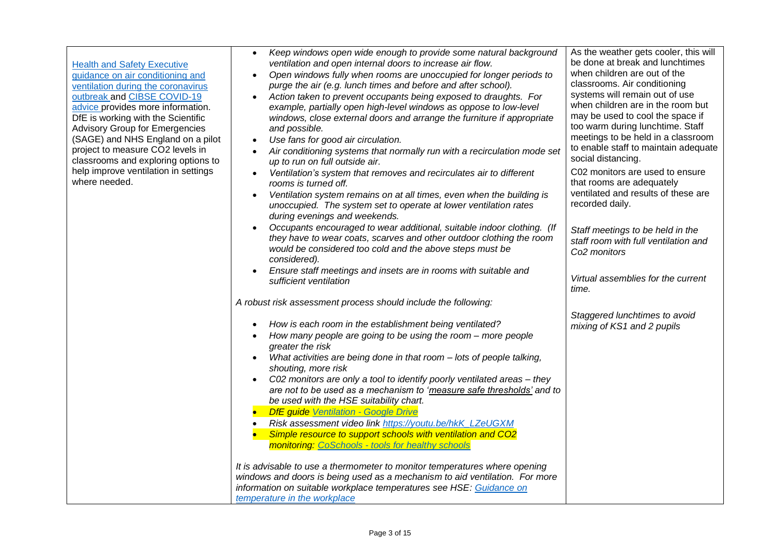| <b>Health and Safety Executive</b><br>guidance on air conditioning and<br>ventilation during the coronavirus<br>outbreak and CIBSE COVID-19<br>advice provides more information.<br>DfE is working with the Scientific<br><b>Advisory Group for Emergencies</b><br>(SAGE) and NHS England on a pilot<br>project to measure CO2 levels in<br>classrooms and exploring options to<br>help improve ventilation in settings<br>where needed. | Keep windows open wide enough to provide some natural background<br>$\bullet$<br>ventilation and open internal doors to increase air flow.<br>Open windows fully when rooms are unoccupied for longer periods to<br>purge the air (e.g. lunch times and before and after school).<br>Action taken to prevent occupants being exposed to draughts. For<br>example, partially open high-level windows as oppose to low-level<br>windows, close external doors and arrange the furniture if appropriate<br>and possible.<br>Use fans for good air circulation.<br>$\bullet$<br>Air conditioning systems that normally run with a recirculation mode set<br>$\bullet$<br>up to run on full outside air.<br>Ventilation's system that removes and recirculates air to different<br>rooms is turned off.<br>Ventilation system remains on at all times, even when the building is<br>$\bullet$<br>unoccupied. The system set to operate at lower ventilation rates<br>during evenings and weekends.<br>Occupants encouraged to wear additional, suitable indoor clothing. (If<br>they have to wear coats, scarves and other outdoor clothing the room<br>would be considered too cold and the above steps must be<br>considered).<br>Ensure staff meetings and insets are in rooms with suitable and<br>sufficient ventilation | As the weather gets cooler, this will<br>be done at break and lunchtimes<br>when children are out of the<br>classrooms. Air conditioning<br>systems will remain out of use<br>when children are in the room but<br>may be used to cool the space if<br>too warm during lunchtime. Staff<br>meetings to be held in a classroom<br>to enable staff to maintain adequate<br>social distancing.<br>C02 monitors are used to ensure<br>that rooms are adequately<br>ventilated and results of these are<br>recorded daily.<br>Staff meetings to be held in the<br>staff room with full ventilation and<br>Co <sub>2</sub> monitors<br>Virtual assemblies for the current |
|------------------------------------------------------------------------------------------------------------------------------------------------------------------------------------------------------------------------------------------------------------------------------------------------------------------------------------------------------------------------------------------------------------------------------------------|--------------------------------------------------------------------------------------------------------------------------------------------------------------------------------------------------------------------------------------------------------------------------------------------------------------------------------------------------------------------------------------------------------------------------------------------------------------------------------------------------------------------------------------------------------------------------------------------------------------------------------------------------------------------------------------------------------------------------------------------------------------------------------------------------------------------------------------------------------------------------------------------------------------------------------------------------------------------------------------------------------------------------------------------------------------------------------------------------------------------------------------------------------------------------------------------------------------------------------------------------------------------------------------------------------------------------|---------------------------------------------------------------------------------------------------------------------------------------------------------------------------------------------------------------------------------------------------------------------------------------------------------------------------------------------------------------------------------------------------------------------------------------------------------------------------------------------------------------------------------------------------------------------------------------------------------------------------------------------------------------------|
|                                                                                                                                                                                                                                                                                                                                                                                                                                          | A robust risk assessment process should include the following:<br>How is each room in the establishment being ventilated?<br>$\bullet$<br>How many people are going to be using the room - more people<br>$\bullet$<br>greater the risk<br>What activities are being done in that room - lots of people talking,<br>shouting, more risk<br>C02 monitors are only a tool to identify poorly ventilated areas - they<br>are not to be used as a mechanism to 'measure safe thresholds' and to<br>be used with the HSE suitability chart.<br>DfE guide Ventilation - Google Drive<br>Risk assessment video link https://youtu.be/hkK_LZeUGXM<br>Simple resource to support schools with ventilation and CO2<br>monitoring: CoSchools - tools for healthy schools<br>It is advisable to use a thermometer to monitor temperatures where opening<br>windows and doors is being used as a mechanism to aid ventilation. For more<br>information on suitable workplace temperatures see HSE: Guidance on<br>temperature in the workplace                                                                                                                                                                                                                                                                                        | time.<br>Staggered lunchtimes to avoid<br>mixing of KS1 and 2 pupils                                                                                                                                                                                                                                                                                                                                                                                                                                                                                                                                                                                                |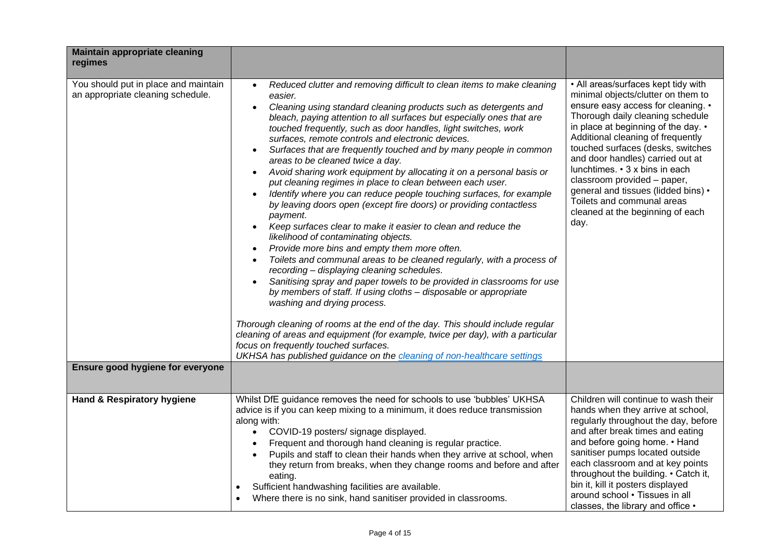| <b>Maintain appropriate cleaning</b><br>regimes                           |                                                                                                                                                                                                                                                                                                                                                                                                                                                                                                                                                                                                                                                                                                                                                                                                                                                                                                                                                                                                                                                                                                                                                                                                                                                                                                                                                                                                                                                                                                                                                                                    |                                                                                                                                                                                                                                                                                                                                                                                                                                                                                            |
|---------------------------------------------------------------------------|------------------------------------------------------------------------------------------------------------------------------------------------------------------------------------------------------------------------------------------------------------------------------------------------------------------------------------------------------------------------------------------------------------------------------------------------------------------------------------------------------------------------------------------------------------------------------------------------------------------------------------------------------------------------------------------------------------------------------------------------------------------------------------------------------------------------------------------------------------------------------------------------------------------------------------------------------------------------------------------------------------------------------------------------------------------------------------------------------------------------------------------------------------------------------------------------------------------------------------------------------------------------------------------------------------------------------------------------------------------------------------------------------------------------------------------------------------------------------------------------------------------------------------------------------------------------------------|--------------------------------------------------------------------------------------------------------------------------------------------------------------------------------------------------------------------------------------------------------------------------------------------------------------------------------------------------------------------------------------------------------------------------------------------------------------------------------------------|
| You should put in place and maintain<br>an appropriate cleaning schedule. | Reduced clutter and removing difficult to clean items to make cleaning<br>$\bullet$<br>easier.<br>Cleaning using standard cleaning products such as detergents and<br>bleach, paying attention to all surfaces but especially ones that are<br>touched frequently, such as door handles, light switches, work<br>surfaces, remote controls and electronic devices.<br>Surfaces that are frequently touched and by many people in common<br>areas to be cleaned twice a day.<br>Avoid sharing work equipment by allocating it on a personal basis or<br>$\bullet$<br>put cleaning regimes in place to clean between each user.<br>Identify where you can reduce people touching surfaces, for example<br>by leaving doors open (except fire doors) or providing contactless<br>payment.<br>Keep surfaces clear to make it easier to clean and reduce the<br>$\bullet$<br>likelihood of contaminating objects.<br>Provide more bins and empty them more often.<br>$\bullet$<br>Toilets and communal areas to be cleaned regularly, with a process of<br>$\bullet$<br>recording - displaying cleaning schedules.<br>Sanitising spray and paper towels to be provided in classrooms for use<br>by members of staff. If using cloths - disposable or appropriate<br>washing and drying process.<br>Thorough cleaning of rooms at the end of the day. This should include regular<br>cleaning of areas and equipment (for example, twice per day), with a particular<br>focus on frequently touched surfaces.<br>UKHSA has published guidance on the cleaning of non-healthcare settings | • All areas/surfaces kept tidy with<br>minimal objects/clutter on them to<br>ensure easy access for cleaning. •<br>Thorough daily cleaning schedule<br>in place at beginning of the day. •<br>Additional cleaning of frequently<br>touched surfaces (desks, switches<br>and door handles) carried out at<br>lunchtimes. • 3 x bins in each<br>classroom provided - paper,<br>general and tissues (lidded bins) •<br>Toilets and communal areas<br>cleaned at the beginning of each<br>day. |
| Ensure good hygiene for everyone                                          |                                                                                                                                                                                                                                                                                                                                                                                                                                                                                                                                                                                                                                                                                                                                                                                                                                                                                                                                                                                                                                                                                                                                                                                                                                                                                                                                                                                                                                                                                                                                                                                    |                                                                                                                                                                                                                                                                                                                                                                                                                                                                                            |
| Hand & Respiratory hygiene                                                | Whilst DfE guidance removes the need for schools to use 'bubbles' UKHSA<br>advice is if you can keep mixing to a minimum, it does reduce transmission<br>along with:<br>COVID-19 posters/ signage displayed.<br>Frequent and thorough hand cleaning is regular practice.<br>Pupils and staff to clean their hands when they arrive at school, when<br>they return from breaks, when they change rooms and before and after<br>eating.<br>Sufficient handwashing facilities are available.<br>Where there is no sink, hand sanitiser provided in classrooms.                                                                                                                                                                                                                                                                                                                                                                                                                                                                                                                                                                                                                                                                                                                                                                                                                                                                                                                                                                                                                        | Children will continue to wash their<br>hands when they arrive at school,<br>regularly throughout the day, before<br>and after break times and eating<br>and before going home. • Hand<br>sanitiser pumps located outside<br>each classroom and at key points<br>throughout the building. • Catch it,<br>bin it, kill it posters displayed<br>around school . Tissues in all<br>classes, the library and office •                                                                          |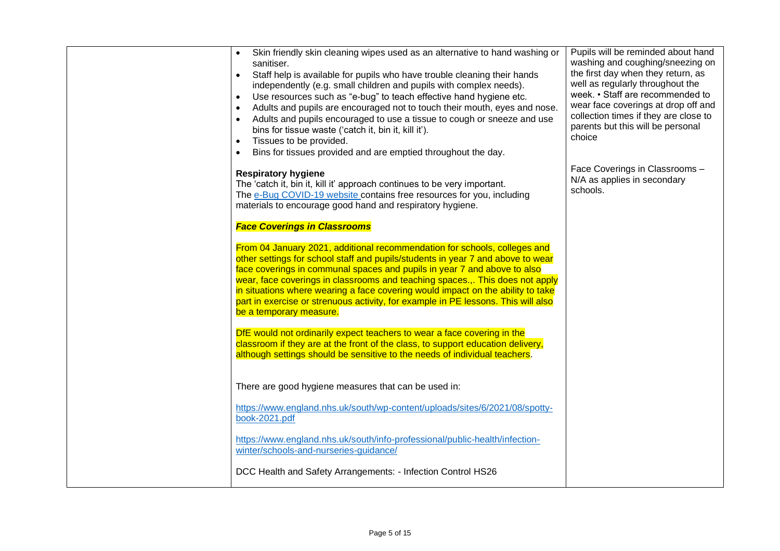| Skin friendly skin cleaning wipes used as an alternative to hand washing or<br>sanitiser.<br>Staff help is available for pupils who have trouble cleaning their hands<br>$\bullet$<br>independently (e.g. small children and pupils with complex needs).<br>Use resources such as "e-bug" to teach effective hand hygiene etc.<br>$\bullet$<br>Adults and pupils are encouraged not to touch their mouth, eyes and nose.<br>$\bullet$<br>Adults and pupils encouraged to use a tissue to cough or sneeze and use<br>bins for tissue waste ('catch it, bin it, kill it').<br>Tissues to be provided.<br>$\bullet$<br>Bins for tissues provided and are emptied throughout the day.<br>$\bullet$ | Pupils will be reminded about hand<br>washing and coughing/sneezing on<br>the first day when they return, as<br>well as regularly throughout the<br>week. • Staff are recommended to<br>wear face coverings at drop off and<br>collection times if they are close to<br>parents but this will be personal<br>choice |
|------------------------------------------------------------------------------------------------------------------------------------------------------------------------------------------------------------------------------------------------------------------------------------------------------------------------------------------------------------------------------------------------------------------------------------------------------------------------------------------------------------------------------------------------------------------------------------------------------------------------------------------------------------------------------------------------|---------------------------------------------------------------------------------------------------------------------------------------------------------------------------------------------------------------------------------------------------------------------------------------------------------------------|
| <b>Respiratory hygiene</b><br>The 'catch it, bin it, kill it' approach continues to be very important.<br>The e-Bug COVID-19 website contains free resources for you, including<br>materials to encourage good hand and respiratory hygiene.                                                                                                                                                                                                                                                                                                                                                                                                                                                   | Face Coverings in Classrooms -<br>N/A as applies in secondary<br>schools.                                                                                                                                                                                                                                           |
| <b>Face Coverings in Classrooms</b>                                                                                                                                                                                                                                                                                                                                                                                                                                                                                                                                                                                                                                                            |                                                                                                                                                                                                                                                                                                                     |
| From 04 January 2021, additional recommendation for schools, colleges and<br>other settings for school staff and pupils/students in year 7 and above to wear<br>face coverings in communal spaces and pupils in year 7 and above to also<br>wear, face coverings in classrooms and teaching spaces This does not apply<br>in situations where wearing a face covering would impact on the ability to take<br>part in exercise or strenuous activity, for example in PE lessons. This will also<br>be a temporary measure.                                                                                                                                                                      |                                                                                                                                                                                                                                                                                                                     |
| DfE would not ordinarily expect teachers to wear a face covering in the<br>classroom if they are at the front of the class, to support education delivery,<br>although settings should be sensitive to the needs of individual teachers.                                                                                                                                                                                                                                                                                                                                                                                                                                                       |                                                                                                                                                                                                                                                                                                                     |
| There are good hygiene measures that can be used in:                                                                                                                                                                                                                                                                                                                                                                                                                                                                                                                                                                                                                                           |                                                                                                                                                                                                                                                                                                                     |
| https://www.england.nhs.uk/south/wp-content/uploads/sites/6/2021/08/spotty-<br>book-2021.pdf                                                                                                                                                                                                                                                                                                                                                                                                                                                                                                                                                                                                   |                                                                                                                                                                                                                                                                                                                     |
| https://www.england.nhs.uk/south/info-professional/public-health/infection-<br>winter/schools-and-nurseries-guidance/                                                                                                                                                                                                                                                                                                                                                                                                                                                                                                                                                                          |                                                                                                                                                                                                                                                                                                                     |
| DCC Health and Safety Arrangements: - Infection Control HS26                                                                                                                                                                                                                                                                                                                                                                                                                                                                                                                                                                                                                                   |                                                                                                                                                                                                                                                                                                                     |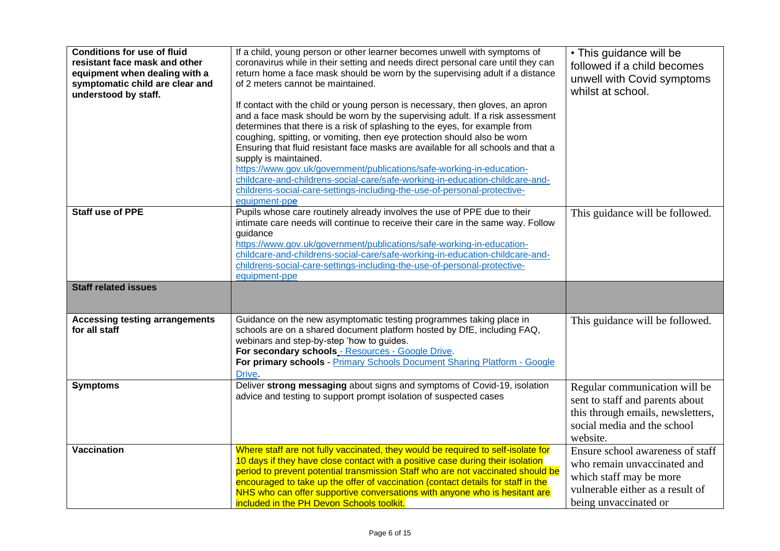| <b>Conditions for use of fluid</b><br>resistant face mask and other<br>equipment when dealing with a<br>symptomatic child are clear and<br>understood by staff. | If a child, young person or other learner becomes unwell with symptoms of<br>coronavirus while in their setting and needs direct personal care until they can<br>return home a face mask should be worn by the supervising adult if a distance<br>of 2 meters cannot be maintained.<br>If contact with the child or young person is necessary, then gloves, an apron<br>and a face mask should be worn by the supervising adult. If a risk assessment<br>determines that there is a risk of splashing to the eyes, for example from<br>coughing, spitting, or vomiting, then eye protection should also be worn<br>Ensuring that fluid resistant face masks are available for all schools and that a<br>supply is maintained.<br>https://www.gov.uk/government/publications/safe-working-in-education-<br>childcare-and-childrens-social-care/safe-working-in-education-childcare-and-<br>childrens-social-care-settings-including-the-use-of-personal-protective-<br>equipment-ppe | • This guidance will be<br>followed if a child becomes<br>unwell with Covid symptoms<br>whilst at school.                                               |
|-----------------------------------------------------------------------------------------------------------------------------------------------------------------|-------------------------------------------------------------------------------------------------------------------------------------------------------------------------------------------------------------------------------------------------------------------------------------------------------------------------------------------------------------------------------------------------------------------------------------------------------------------------------------------------------------------------------------------------------------------------------------------------------------------------------------------------------------------------------------------------------------------------------------------------------------------------------------------------------------------------------------------------------------------------------------------------------------------------------------------------------------------------------------|---------------------------------------------------------------------------------------------------------------------------------------------------------|
| <b>Staff use of PPE</b><br><b>Staff related issues</b>                                                                                                          | Pupils whose care routinely already involves the use of PPE due to their<br>intimate care needs will continue to receive their care in the same way. Follow<br>guidance<br>https://www.gov.uk/government/publications/safe-working-in-education-<br>childcare-and-childrens-social-care/safe-working-in-education-childcare-and-<br>childrens-social-care-settings-including-the-use-of-personal-protective-<br>equipment-ppe                                                                                                                                                                                                                                                                                                                                                                                                                                                                                                                                                       | This guidance will be followed.                                                                                                                         |
|                                                                                                                                                                 |                                                                                                                                                                                                                                                                                                                                                                                                                                                                                                                                                                                                                                                                                                                                                                                                                                                                                                                                                                                     |                                                                                                                                                         |
| <b>Accessing testing arrangements</b><br>for all staff                                                                                                          | Guidance on the new asymptomatic testing programmes taking place in<br>schools are on a shared document platform hosted by DfE, including FAQ,<br>webinars and step-by-step 'how to guides.<br>For secondary schools - Resources - Google Drive.<br>For primary schools - Primary Schools Document Sharing Platform - Google<br>Drive.                                                                                                                                                                                                                                                                                                                                                                                                                                                                                                                                                                                                                                              | This guidance will be followed.                                                                                                                         |
| <b>Symptoms</b>                                                                                                                                                 | Deliver strong messaging about signs and symptoms of Covid-19, isolation<br>advice and testing to support prompt isolation of suspected cases                                                                                                                                                                                                                                                                                                                                                                                                                                                                                                                                                                                                                                                                                                                                                                                                                                       | Regular communication will be<br>sent to staff and parents about<br>this through emails, newsletters,<br>social media and the school<br>website.        |
| <b>Vaccination</b>                                                                                                                                              | Where staff are not fully vaccinated, they would be required to self-isolate for<br>10 days if they have close contact with a positive case during their isolation<br>period to prevent potential transmission Staff who are not vaccinated should be<br>encouraged to take up the offer of vaccination (contact details for staff in the<br>NHS who can offer supportive conversations with anyone who is hesitant are<br>included in the PH Devon Schools toolkit.                                                                                                                                                                                                                                                                                                                                                                                                                                                                                                                | Ensure school awareness of staff<br>who remain unvaccinated and<br>which staff may be more<br>vulnerable either as a result of<br>being unvaccinated or |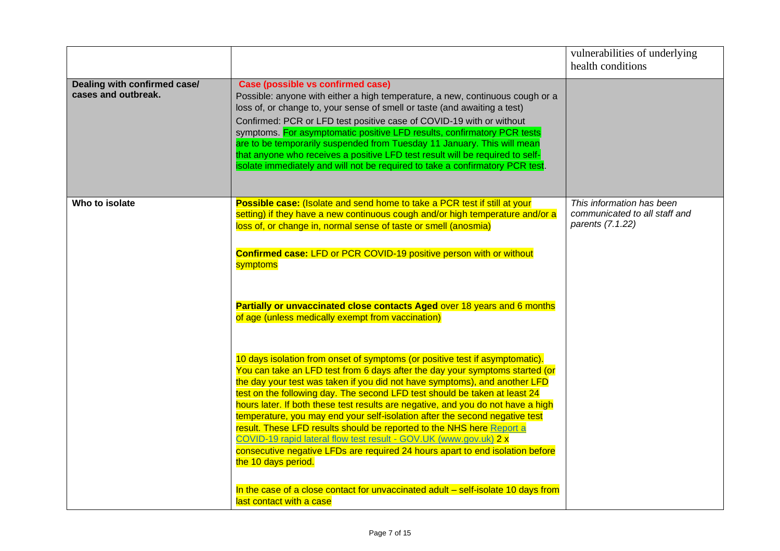|                                                     |                                                                                                                                                                                                                                                                                                                                                                                                                                                                                                                                                                                                                                                                                                                                                                                                                                                                    | vulnerabilities of underlying<br>health conditions                             |
|-----------------------------------------------------|--------------------------------------------------------------------------------------------------------------------------------------------------------------------------------------------------------------------------------------------------------------------------------------------------------------------------------------------------------------------------------------------------------------------------------------------------------------------------------------------------------------------------------------------------------------------------------------------------------------------------------------------------------------------------------------------------------------------------------------------------------------------------------------------------------------------------------------------------------------------|--------------------------------------------------------------------------------|
| Dealing with confirmed case/<br>cases and outbreak. | Case (possible vs confirmed case)<br>Possible: anyone with either a high temperature, a new, continuous cough or a<br>loss of, or change to, your sense of smell or taste (and awaiting a test)<br>Confirmed: PCR or LFD test positive case of COVID-19 with or without<br>symptoms. For asymptomatic positive LFD results, confirmatory PCR tests<br>are to be temporarily suspended from Tuesday 11 January. This will mean<br>that anyone who receives a positive LFD test result will be required to self-<br>isolate immediately and will not be required to take a confirmatory PCR test.                                                                                                                                                                                                                                                                    |                                                                                |
| Who to isolate                                      | Possible case: (Isolate and send home to take a PCR test if still at your<br>setting) if they have a new continuous cough and/or high temperature and/or a<br>loss of, or change in, normal sense of taste or smell (anosmia)<br><b>Confirmed case: LFD or PCR COVID-19 positive person with or without</b><br>symptoms<br>Partially or unvaccinated close contacts Aged over 18 years and 6 months<br>of age (unless medically exempt from vaccination)                                                                                                                                                                                                                                                                                                                                                                                                           | This information has been<br>communicated to all staff and<br>parents (7.1.22) |
|                                                     | 10 days isolation from onset of symptoms (or positive test if asymptomatic).<br>You can take an LFD test from 6 days after the day your symptoms started (or<br>the day your test was taken if you did not have symptoms), and another LFD<br>test on the following day. The second LFD test should be taken at least 24<br>hours later. If both these test results are negative, and you do not have a high<br>temperature, you may end your self-isolation after the second negative test<br>result. These LFD results should be reported to the NHS here Report a<br>COVID-19 rapid lateral flow test result - GOV.UK (www.gov.uk) 2 x<br>consecutive negative LFDs are required 24 hours apart to end isolation before<br>the 10 days period.<br>In the case of a close contact for unvaccinated adult - self-isolate 10 days from<br>last contact with a case |                                                                                |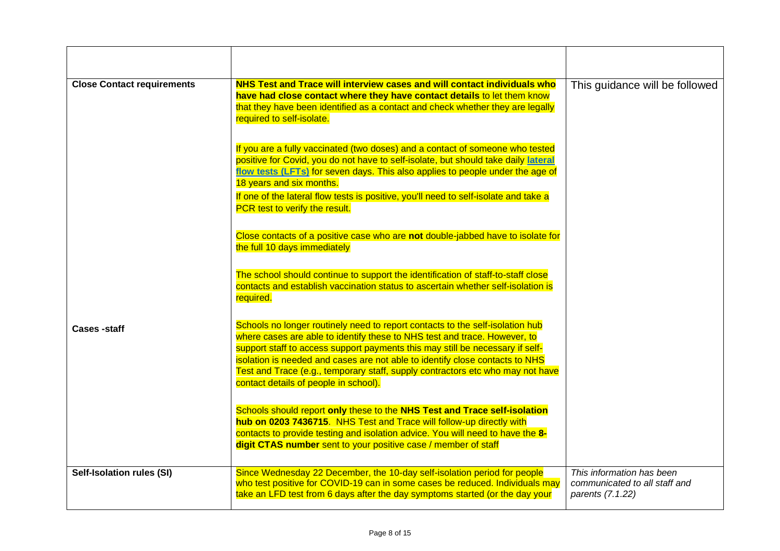| <b>Close Contact requirements</b> | NHS Test and Trace will interview cases and will contact individuals who<br>have had close contact where they have contact details to let them know<br>that they have been identified as a contact and check whether they are legally<br>required to self-isolate.                                                                                                                                                                                     | This guidance will be followed                                                 |
|-----------------------------------|--------------------------------------------------------------------------------------------------------------------------------------------------------------------------------------------------------------------------------------------------------------------------------------------------------------------------------------------------------------------------------------------------------------------------------------------------------|--------------------------------------------------------------------------------|
|                                   | If you are a fully vaccinated (two doses) and a contact of someone who tested<br>positive for Covid, you do not have to self-isolate, but should take daily lateral<br>flow tests (LFTs) for seven days. This also applies to people under the age of<br>18 years and six months.<br>If one of the lateral flow tests is positive, you'll need to self-isolate and take a                                                                              |                                                                                |
|                                   | PCR test to verify the result.<br>Close contacts of a positive case who are not double-jabbed have to isolate for                                                                                                                                                                                                                                                                                                                                      |                                                                                |
|                                   | the full 10 days immediately<br>The school should continue to support the identification of staff-to-staff close<br>contacts and establish vaccination status to ascertain whether self-isolation is<br>required.                                                                                                                                                                                                                                      |                                                                                |
| <b>Cases -staff</b>               | Schools no longer routinely need to report contacts to the self-isolation hub<br>where cases are able to identify these to NHS test and trace. However, to<br>support staff to access support payments this may still be necessary if self-<br>isolation is needed and cases are not able to identify close contacts to NHS<br>Test and Trace (e.g., temporary staff, supply contractors etc who may not have<br>contact details of people in school). |                                                                                |
|                                   | Schools should report only these to the NHS Test and Trace self-isolation<br>hub on 0203 7436715. NHS Test and Trace will follow-up directly with<br>contacts to provide testing and isolation advice. You will need to have the 8-<br>digit CTAS number sent to your positive case / member of staff                                                                                                                                                  |                                                                                |
| Self-Isolation rules (SI)         | Since Wednesday 22 December, the 10-day self-isolation period for people<br>who test positive for COVID-19 can in some cases be reduced. Individuals may<br>take an LFD test from 6 days after the day symptoms started (or the day your                                                                                                                                                                                                               | This information has been<br>communicated to all staff and<br>parents (7.1.22) |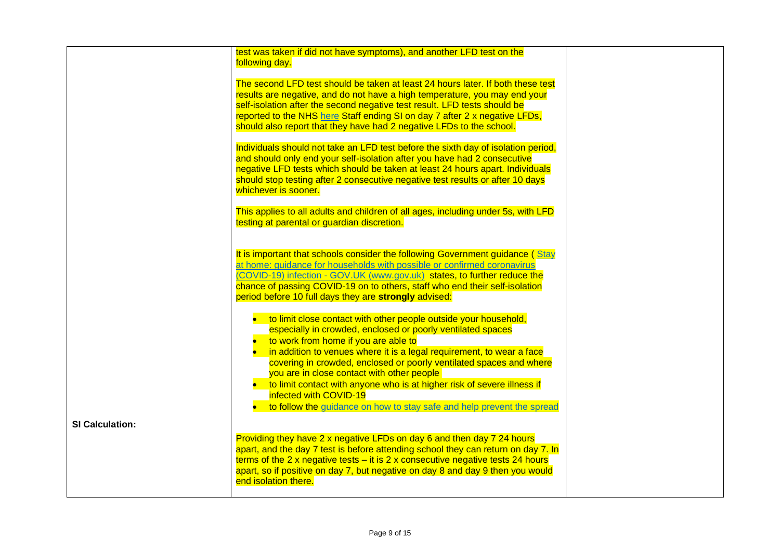|                        | test was taken if did not have symptoms), and another LFD test on the<br>following day.                                                                                                                                                                                                                                                                                                                                                                                        |  |
|------------------------|--------------------------------------------------------------------------------------------------------------------------------------------------------------------------------------------------------------------------------------------------------------------------------------------------------------------------------------------------------------------------------------------------------------------------------------------------------------------------------|--|
|                        | The second LFD test should be taken at least 24 hours later. If both these test<br>results are negative, and do not have a high temperature, you may end your<br>self-isolation after the second negative test result. LFD tests should be<br>reported to the NHS here Staff ending SI on day 7 after 2 x negative LFDs,<br>should also report that they have had 2 negative LFDs to the school.                                                                               |  |
|                        | Individuals should not take an LFD test before the sixth day of isolation period,<br>and should only end your self-isolation after you have had 2 consecutive<br>negative LFD tests which should be taken at least 24 hours apart. Individuals<br>should stop testing after 2 consecutive negative test results or after 10 days<br>whichever is sooner.                                                                                                                       |  |
|                        | This applies to all adults and children of all ages, including under 5s, with LFD<br>testing at parental or guardian discretion.                                                                                                                                                                                                                                                                                                                                               |  |
|                        | It is important that schools consider the following Government guidance (Stay<br>at home: quidance for households with possible or confirmed coronavirus<br>(COVID-19) infection - GOV.UK (www.gov.uk) states, to further reduce the<br>chance of passing COVID-19 on to others, staff who end their self-isolation<br>period before 10 full days they are strongly advised:                                                                                                   |  |
|                        | • to limit close contact with other people outside your household,<br>especially in crowded, enclosed or poorly ventilated spaces<br>to work from home if you are able to<br>in addition to venues where it is a legal requirement, to wear a face<br>covering in crowded, enclosed or poorly ventilated spaces and where<br>you are in close contact with other people<br>• to limit contact with anyone who is at higher risk of severe illness if<br>infected with COVID-19 |  |
| <b>SI Calculation:</b> | • to follow the guidance on how to stay safe and help prevent the spread                                                                                                                                                                                                                                                                                                                                                                                                       |  |
|                        | Providing they have 2 x negative LFDs on day 6 and then day 7 24 hours<br>apart, and the day 7 test is before attending school they can return on day 7. In<br>terms of the 2 x negative tests $-$ it is 2 x consecutive negative tests 24 hours<br>apart, so if positive on day 7, but negative on day 8 and day 9 then you would<br>end isolation there.                                                                                                                     |  |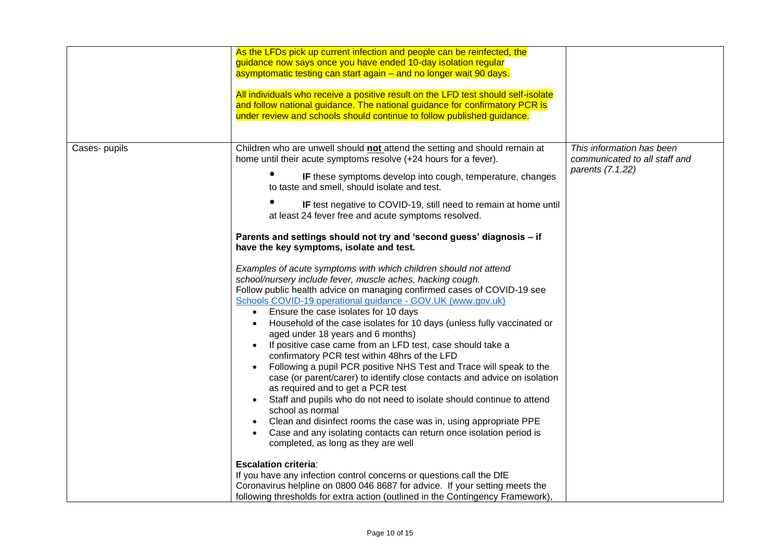|               | As the LFDs pick up current infection and people can be reinfected, the<br>guidance now says once you have ended 10-day isolation regular<br>asymptomatic testing can start again – and no longer wait 90 days.<br>All individuals who receive a positive result on the LFD test should self-isolate<br>and follow national guidance. The national guidance for confirmatory PCR is<br>under review and schools should continue to follow published guidance.                                                                                                                                                                                                                                                                                                                                                                                                                                                                                                                                                                                                                                                                                                                                                                                                                                                                                                                                                                                                                                                                                                                                                                                                                                                                                                                                                                            |                                                                                |
|---------------|------------------------------------------------------------------------------------------------------------------------------------------------------------------------------------------------------------------------------------------------------------------------------------------------------------------------------------------------------------------------------------------------------------------------------------------------------------------------------------------------------------------------------------------------------------------------------------------------------------------------------------------------------------------------------------------------------------------------------------------------------------------------------------------------------------------------------------------------------------------------------------------------------------------------------------------------------------------------------------------------------------------------------------------------------------------------------------------------------------------------------------------------------------------------------------------------------------------------------------------------------------------------------------------------------------------------------------------------------------------------------------------------------------------------------------------------------------------------------------------------------------------------------------------------------------------------------------------------------------------------------------------------------------------------------------------------------------------------------------------------------------------------------------------------------------------------------------------|--------------------------------------------------------------------------------|
| Cases- pupils | Children who are unwell should not attend the setting and should remain at<br>home until their acute symptoms resolve (+24 hours for a fever).<br>IF these symptoms develop into cough, temperature, changes<br>to taste and smell, should isolate and test.<br>IF test negative to COVID-19, still need to remain at home until<br>at least 24 fever free and acute symptoms resolved.<br>Parents and settings should not try and 'second guess' diagnosis - if<br>have the key symptoms, isolate and test.<br>Examples of acute symptoms with which children should not attend<br>school/nursery include fever, muscle aches, hacking cough.<br>Follow public health advice on managing confirmed cases of COVID-19 see<br>Schools COVID-19 operational guidance - GOV.UK (www.gov.uk)<br>Ensure the case isolates for 10 days<br>$\bullet$<br>Household of the case isolates for 10 days (unless fully vaccinated or<br>aged under 18 years and 6 months)<br>If positive case came from an LFD test, case should take a<br>confirmatory PCR test within 48hrs of the LFD<br>Following a pupil PCR positive NHS Test and Trace will speak to the<br>case (or parent/carer) to identify close contacts and advice on isolation<br>as required and to get a PCR test<br>Staff and pupils who do not need to isolate should continue to attend<br>$\bullet$<br>school as normal<br>Clean and disinfect rooms the case was in, using appropriate PPE<br>Case and any isolating contacts can return once isolation period is<br>completed, as long as they are well<br><b>Escalation criteria:</b><br>If you have any infection control concerns or questions call the DfE<br>Coronavirus helpline on 0800 046 8687 for advice. If your setting meets the<br>following thresholds for extra action (outlined in the Contingency Framework), | This information has been<br>communicated to all staff and<br>parents (7.1.22) |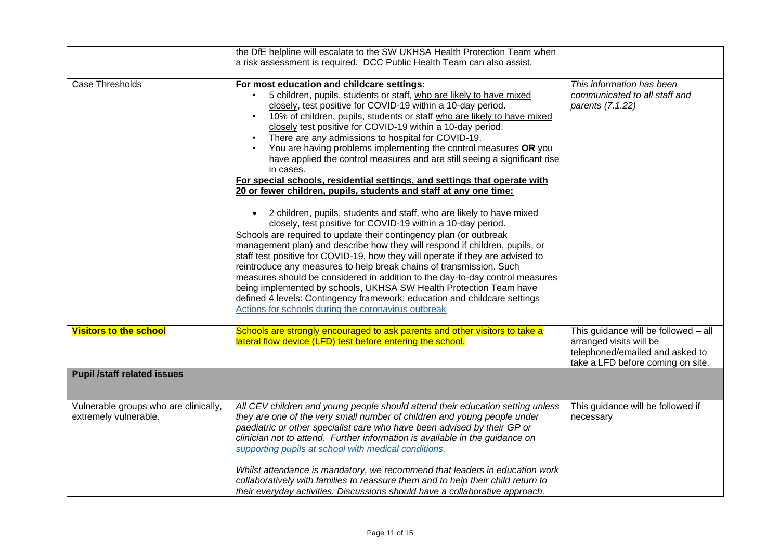|                                                                | the DfE helpline will escalate to the SW UKHSA Health Protection Team when<br>a risk assessment is required. DCC Public Health Team can also assist.                                                                                                                                                                                                                                                                                                                                                                                                                                                                                                                                                                                                                                                                                                                                                                                                                                                                                                                                                                                                                                                                                                                                                                                                                                                                                                        |                                                                                                                                         |
|----------------------------------------------------------------|-------------------------------------------------------------------------------------------------------------------------------------------------------------------------------------------------------------------------------------------------------------------------------------------------------------------------------------------------------------------------------------------------------------------------------------------------------------------------------------------------------------------------------------------------------------------------------------------------------------------------------------------------------------------------------------------------------------------------------------------------------------------------------------------------------------------------------------------------------------------------------------------------------------------------------------------------------------------------------------------------------------------------------------------------------------------------------------------------------------------------------------------------------------------------------------------------------------------------------------------------------------------------------------------------------------------------------------------------------------------------------------------------------------------------------------------------------------|-----------------------------------------------------------------------------------------------------------------------------------------|
| Case Thresholds                                                | For most education and childcare settings:<br>5 children, pupils, students or staff, who are likely to have mixed<br>closely, test positive for COVID-19 within a 10-day period.<br>10% of children, pupils, students or staff who are likely to have mixed<br>closely test positive for COVID-19 within a 10-day period.<br>There are any admissions to hospital for COVID-19.<br>$\bullet$<br>You are having problems implementing the control measures OR you<br>have applied the control measures and are still seeing a significant rise<br>in cases.<br>For special schools, residential settings, and settings that operate with<br>20 or fewer children, pupils, students and staff at any one time:<br>2 children, pupils, students and staff, who are likely to have mixed<br>closely, test positive for COVID-19 within a 10-day period.<br>Schools are required to update their contingency plan (or outbreak<br>management plan) and describe how they will respond if children, pupils, or<br>staff test positive for COVID-19, how they will operate if they are advised to<br>reintroduce any measures to help break chains of transmission. Such<br>measures should be considered in addition to the day-to-day control measures<br>being implemented by schools, UKHSA SW Health Protection Team have<br>defined 4 levels: Contingency framework: education and childcare settings<br>Actions for schools during the coronavirus outbreak | This information has been<br>communicated to all staff and<br>parents (7.1.22)                                                          |
| <b>Visitors to the school</b>                                  | Schools are strongly encouraged to ask parents and other visitors to take a<br>lateral flow device (LFD) test before entering the school.                                                                                                                                                                                                                                                                                                                                                                                                                                                                                                                                                                                                                                                                                                                                                                                                                                                                                                                                                                                                                                                                                                                                                                                                                                                                                                                   | This guidance will be followed - all<br>arranged visits will be<br>telephoned/emailed and asked to<br>take a LFD before coming on site. |
| <b>Pupil /staff related issues</b>                             |                                                                                                                                                                                                                                                                                                                                                                                                                                                                                                                                                                                                                                                                                                                                                                                                                                                                                                                                                                                                                                                                                                                                                                                                                                                                                                                                                                                                                                                             |                                                                                                                                         |
| Vulnerable groups who are clinically,<br>extremely vulnerable. | All CEV children and young people should attend their education setting unless<br>they are one of the very small number of children and young people under<br>paediatric or other specialist care who have been advised by their GP or<br>clinician not to attend. Further information is available in the guidance on<br>supporting pupils at school with medical conditions.<br>Whilst attendance is mandatory, we recommend that leaders in education work<br>collaboratively with families to reassure them and to help their child return to<br>their everyday activities. Discussions should have a collaborative approach,                                                                                                                                                                                                                                                                                                                                                                                                                                                                                                                                                                                                                                                                                                                                                                                                                           | This guidance will be followed if<br>necessary                                                                                          |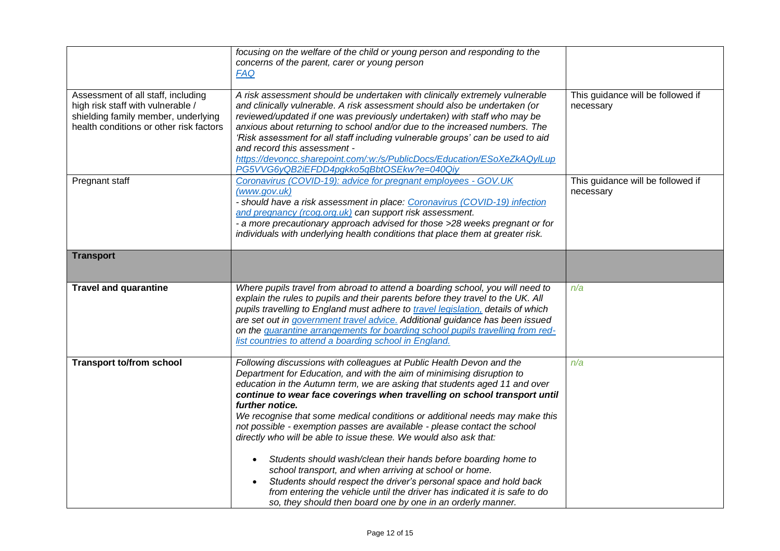|                                         | focusing on the welfare of the child or young person and responding to the       |                                   |
|-----------------------------------------|----------------------------------------------------------------------------------|-----------------------------------|
|                                         |                                                                                  |                                   |
|                                         | concerns of the parent, carer or young person                                    |                                   |
|                                         | <b>FAQ</b>                                                                       |                                   |
|                                         |                                                                                  |                                   |
| Assessment of all staff, including      | A risk assessment should be undertaken with clinically extremely vulnerable      | This guidance will be followed if |
| high risk staff with vulnerable /       | and clinically vulnerable. A risk assessment should also be undertaken (or       | necessary                         |
| shielding family member, underlying     | reviewed/updated if one was previously undertaken) with staff who may be         |                                   |
| health conditions or other risk factors | anxious about returning to school and/or due to the increased numbers. The       |                                   |
|                                         | 'Risk assessment for all staff including vulnerable groups' can be used to aid   |                                   |
|                                         | and record this assessment -                                                     |                                   |
|                                         | https://devoncc.sharepoint.com/:w:/s/PublicDocs/Education/ESoXeZkAQyILup         |                                   |
|                                         | PG5VVG6yQB2iEFDD4pgkko5qBbtOSEkw?e=040Qiy                                        |                                   |
|                                         |                                                                                  |                                   |
| Pregnant staff                          | Coronavirus (COVID-19): advice for pregnant employees - GOV.UK                   | This guidance will be followed if |
|                                         | (www.gov.uk)                                                                     | necessary                         |
|                                         | - should have a risk assessment in place: Coronavirus (COVID-19) infection       |                                   |
|                                         | and pregnancy (rcog.org.uk) can support risk assessment.                         |                                   |
|                                         | - a more precautionary approach advised for those >28 weeks pregnant or for      |                                   |
|                                         | individuals with underlying health conditions that place them at greater risk.   |                                   |
|                                         |                                                                                  |                                   |
| <b>Transport</b>                        |                                                                                  |                                   |
|                                         |                                                                                  |                                   |
|                                         |                                                                                  |                                   |
| <b>Travel and quarantine</b>            | Where pupils travel from abroad to attend a boarding school, you will need to    | n/a                               |
|                                         | explain the rules to pupils and their parents before they travel to the UK. All  |                                   |
|                                         | pupils travelling to England must adhere to travel legislation, details of which |                                   |
|                                         | are set out in government travel advice. Additional guidance has been issued     |                                   |
|                                         | on the quarantine arrangements for boarding school pupils travelling from red-   |                                   |
|                                         | list countries to attend a boarding school in England.                           |                                   |
|                                         |                                                                                  |                                   |
|                                         |                                                                                  |                                   |
| <b>Transport to/from school</b>         | Following discussions with colleagues at Public Health Devon and the             | n/a                               |
|                                         | Department for Education, and with the aim of minimising disruption to           |                                   |
|                                         | education in the Autumn term, we are asking that students aged 11 and over       |                                   |
|                                         | continue to wear face coverings when travelling on school transport until        |                                   |
|                                         | further notice.                                                                  |                                   |
|                                         | We recognise that some medical conditions or additional needs may make this      |                                   |
|                                         | not possible - exemption passes are available - please contact the school        |                                   |
|                                         | directly who will be able to issue these. We would also ask that:                |                                   |
|                                         |                                                                                  |                                   |
|                                         | Students should wash/clean their hands before boarding home to<br>$\bullet$      |                                   |
|                                         | school transport, and when arriving at school or home.                           |                                   |
|                                         | Students should respect the driver's personal space and hold back<br>$\bullet$   |                                   |
|                                         | from entering the vehicle until the driver has indicated it is safe to do        |                                   |
|                                         | so, they should then board one by one in an orderly manner.                      |                                   |
|                                         |                                                                                  |                                   |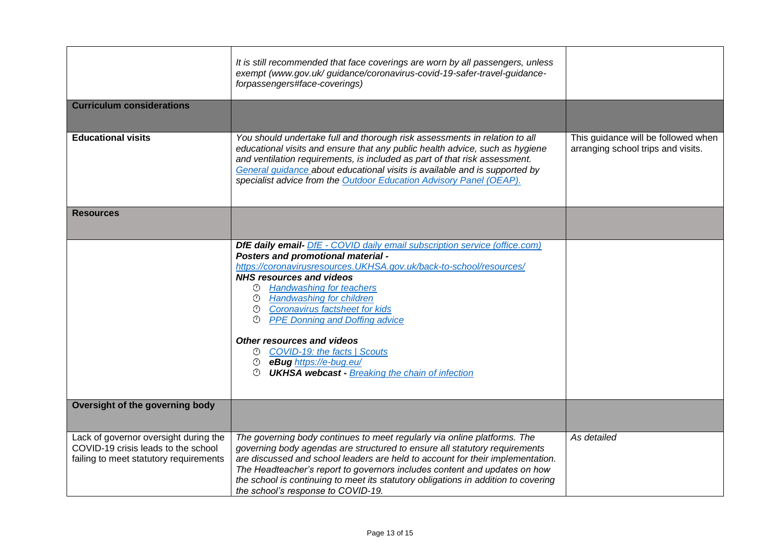|                                                                                                                        | It is still recommended that face coverings are worn by all passengers, unless<br>exempt (www.gov.uk/ guidance/coronavirus-covid-19-safer-travel-quidance-<br>forpassengers#face-coverings)                                                                                                                                                                                                                                                                                                                                                                                                                        |                                                                           |
|------------------------------------------------------------------------------------------------------------------------|--------------------------------------------------------------------------------------------------------------------------------------------------------------------------------------------------------------------------------------------------------------------------------------------------------------------------------------------------------------------------------------------------------------------------------------------------------------------------------------------------------------------------------------------------------------------------------------------------------------------|---------------------------------------------------------------------------|
| <b>Curriculum considerations</b>                                                                                       |                                                                                                                                                                                                                                                                                                                                                                                                                                                                                                                                                                                                                    |                                                                           |
| <b>Educational visits</b>                                                                                              | You should undertake full and thorough risk assessments in relation to all<br>educational visits and ensure that any public health advice, such as hygiene<br>and ventilation requirements, is included as part of that risk assessment.<br>General guidance about educational visits is available and is supported by<br>specialist advice from the Outdoor Education Advisory Panel (OEAP).                                                                                                                                                                                                                      | This guidance will be followed when<br>arranging school trips and visits. |
| <b>Resources</b>                                                                                                       |                                                                                                                                                                                                                                                                                                                                                                                                                                                                                                                                                                                                                    |                                                                           |
|                                                                                                                        | <b>DfE daily email-</b> DfE - COVID daily email subscription service (office.com)<br>Posters and promotional material -<br>https://coronavirusresources.UKHSA.gov.uk/back-to-school/resources/<br><b>NHS resources and videos</b><br><b>Handwashing for teachers</b><br>⊙<br><b><sup>①</sup></b> Handwashing for children<br><sup>①</sup> Coronavirus factsheet for kids<br><b>PPE Donning and Doffing advice</b><br>⊙<br><b>Other resources and videos</b><br>© COVID-19: the facts   Scouts<br><sup>①</sup> eBug https://e-bug.eu/<br><b><i><sup>O</sup></i></b> UKHSA webcast - Breaking the chain of infection |                                                                           |
| Oversight of the governing body                                                                                        |                                                                                                                                                                                                                                                                                                                                                                                                                                                                                                                                                                                                                    |                                                                           |
| Lack of governor oversight during the<br>COVID-19 crisis leads to the school<br>failing to meet statutory requirements | The governing body continues to meet regularly via online platforms. The<br>governing body agendas are structured to ensure all statutory requirements<br>are discussed and school leaders are held to account for their implementation.<br>The Headteacher's report to governors includes content and updates on how<br>the school is continuing to meet its statutory obligations in addition to covering<br>the school's response to COVID-19.                                                                                                                                                                  | As detailed                                                               |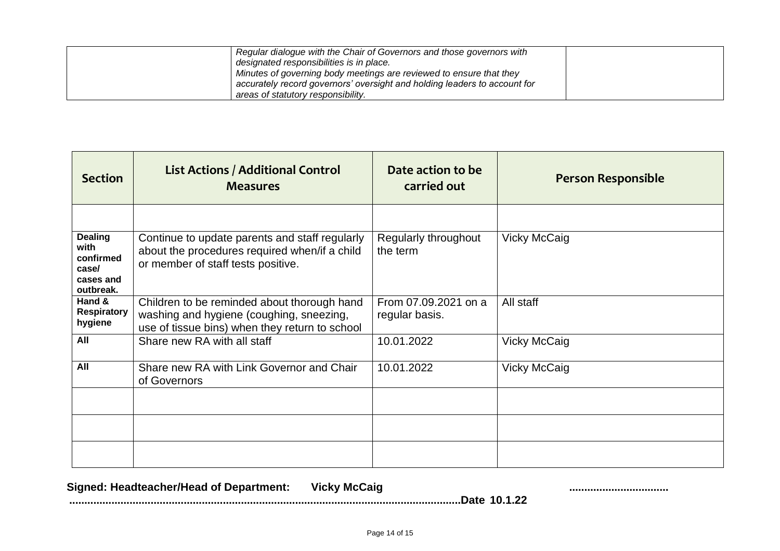| Regular dialogue with the Chair of Governors and those governors with            |  |
|----------------------------------------------------------------------------------|--|
| designated responsibilities is in place.                                         |  |
| <sup>1</sup> Minutes of governing body meetings are reviewed to ensure that they |  |
| accurately record governors' oversight and holding leaders to account for        |  |
| areas of statutory responsibility.                                               |  |

| <b>Section</b>                                                         | <b>List Actions / Additional Control</b><br><b>Measures</b>                                                                               | Date action to be<br>carried out       | <b>Person Responsible</b> |
|------------------------------------------------------------------------|-------------------------------------------------------------------------------------------------------------------------------------------|----------------------------------------|---------------------------|
|                                                                        |                                                                                                                                           |                                        |                           |
| <b>Dealing</b><br>with<br>confirmed<br>case/<br>cases and<br>outbreak. | Continue to update parents and staff regularly<br>about the procedures required when/if a child<br>or member of staff tests positive.     | Regularly throughout<br>the term       | <b>Vicky McCaig</b>       |
| Hand &<br><b>Respiratory</b><br>hygiene                                | Children to be reminded about thorough hand<br>washing and hygiene (coughing, sneezing,<br>use of tissue bins) when they return to school | From 07.09.2021 on a<br>regular basis. | All staff                 |
| All                                                                    | Share new RA with all staff                                                                                                               | 10.01.2022                             | <b>Vicky McCaig</b>       |
| All                                                                    | Share new RA with Link Governor and Chair<br>of Governors                                                                                 | 10.01.2022                             | <b>Vicky McCaig</b>       |
|                                                                        |                                                                                                                                           |                                        |                           |
|                                                                        |                                                                                                                                           |                                        |                           |
|                                                                        |                                                                                                                                           |                                        |                           |

Signed: Headteacher/Head of Department: Vicky McCaig **Communical Communication Communication** Communication **..................................................................................................................................Date 10.1.22**